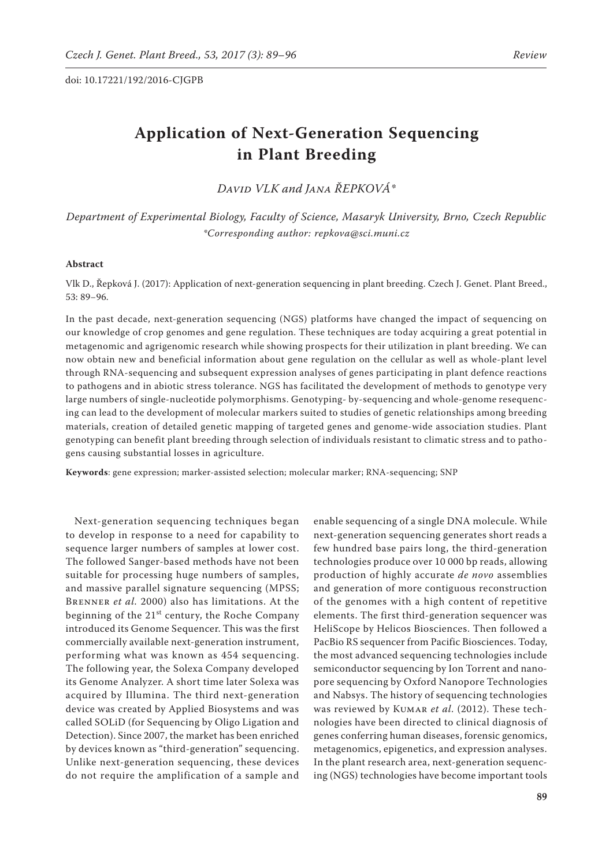# **Application of Next-Generation Sequencing in Plant Breeding**

*David VLK and Jana ŘEPKOVÁ\**

*Department of Experimental Biology, Faculty of Science, Masaryk University, Brno, Czech Republic \*Corresponding author: repkova@sci.muni.cz*

## **Abstract**

Vlk D., Řepková J. (2017): Application of next-generation sequencing in plant breeding. Czech J. Genet. Plant Breed., 53: 89−96.

In the past decade, next-generation sequencing (NGS) platforms have changed the impact of sequencing on our knowledge of crop genomes and gene regulation. These techniques are today acquiring a great potential in metagenomic and agrigenomic research while showing prospects for their utilization in plant breeding. We can now obtain new and beneficial information about gene regulation on the cellular as well as whole-plant level through RNA-sequencing and subsequent expression analyses of genes participating in plant defence reactions to pathogens and in abiotic stress tolerance. NGS has facilitated the development of methods to genotype very large numbers of single-nucleotide polymorphisms. Genotyping- by-sequencing and whole-genome resequencing can lead to the development of molecular markers suited to studies of genetic relationships among breeding materials, creation of detailed genetic mapping of targeted genes and genome-wide association studies. Plant genotyping can benefit plant breeding through selection of individuals resistant to climatic stress and to pathogens causing substantial losses in agriculture.

**Keywords**: gene expression; marker-assisted selection; molecular marker; RNA-sequencing; SNP

Next-generation sequencing techniques began to develop in response to a need for capability to sequence larger numbers of samples at lower cost. The followed Sanger-based methods have not been suitable for processing huge numbers of samples, and massive parallel signature sequencing (MPSS; Brenner *et al.* 2000) also has limitations. At the beginning of the  $21<sup>st</sup>$  century, the Roche Company introduced its Genome Sequencer. This was the first commercially available next-generation instrument, performing what was known as 454 sequencing. The following year, the Solexa Company developed its Genome Analyzer. A short time later Solexa was acquired by Illumina. The third next-generation device was created by Applied Biosystems and was called SOLiD (for Sequencing by Oligo Ligation and Detection). Since 2007, the market has been enriched by devices known as "third-generation" sequencing. Unlike next-generation sequencing, these devices do not require the amplification of a sample and

enable sequencing of a single DNA molecule. While next-generation sequencing generates short reads a few hundred base pairs long, the third-generation technologies produce over 10 000 bp reads, allowing production of highly accurate *de novo* assemblies and generation of more contiguous reconstruction of the genomes with a high content of repetitive elements. The first third-generation sequencer was HeliScope by Helicos Biosciences. Then followed a PacBio RS sequencer from Pacific Biosciences. Today, the most advanced sequencing technologies include semiconductor sequencing by Ion Torrent and nanopore sequencing by Oxford Nanopore Technologies and Nabsys. The history of sequencing technologies was reviewed by KUMAR et al. (2012). These technologies have been directed to clinical diagnosis of genes conferring human diseases, forensic genomics, metagenomics, epigenetics, and expression analyses. In the plant research area, next-generation sequencing (NGS) technologies have become important tools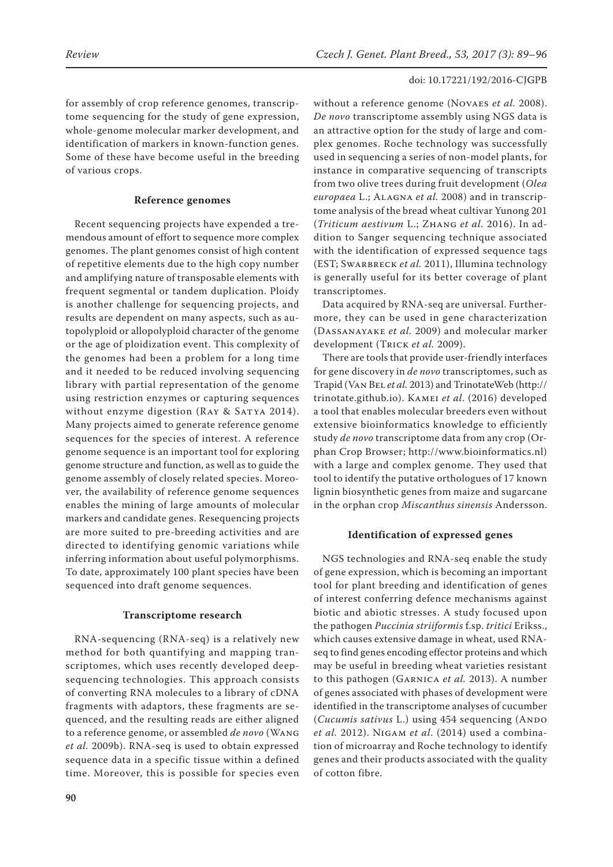for assembly of crop reference genomes, transcriptome sequencing for the study of gene expression, whole-genome molecular marker development, and identification of markers in known-function genes. Some of these have become useful in the breeding of various crops.

# **Reference genomes**

Recent sequencing projects have expended a tremendous amount of effort to sequence more complex genomes. The plant genomes consist of high content of repetitive elements due to the high copy number and amplifying nature of transposable elements with frequent segmental or tandem duplication. Ploidy is another challenge for sequencing projects, and results are dependent on many aspects, such as autopolyploid or allopolyploid character of the genome or the age of ploidization event. This complexity of the genomes had been a problem for a long time and it needed to be reduced involving sequencing library with partial representation of the genome using restriction enzymes or capturing sequences without enzyme digestion (RAY & SATYA 2014). Many projects aimed to generate reference genome sequences for the species of interest. A reference genome sequence is an important tool for exploring genome structure and function, as well as to guide the genome assembly of closely related species. Moreover, the availability of reference genome sequences enables the mining of large amounts of molecular markers and candidate genes. Resequencing projects are more suited to pre-breeding activities and are directed to identifying genomic variations while inferring information about useful polymorphisms. To date, approximately 100 plant species have been sequenced into draft genome sequences.

## **Transcriptome research**

RNA-sequencing (RNA-seq) is a relatively new method for both quantifying and mapping transcriptomes, which uses recently developed deepsequencing technologies. This approach consists of converting RNA molecules to a library of cDNA fragments with adaptors, these fragments are sequenced, and the resulting reads are either aligned to a reference genome, or assembled *de novo* (Wang *et al.* 2009b). RNA-seq is used to obtain expressed sequence data in a specific tissue within a defined time. Moreover, this is possible for species even without a reference genome (Novaes *et al.* 2008). *De novo* transcriptome assembly using NGS data is an attractive option for the study of large and complex genomes. Roche technology was successfully used in sequencing a series of non-model plants, for instance in comparative sequencing of transcripts from two olive trees during fruit development (*Olea europaea* L.; Alagna *et al.* 2008) and in transcriptome analysis of the bread wheat cultivar Yunong 201 (*Triticum aestivum* L.; Zhang *et al.* 2016). In addition to Sanger sequencing technique associated with the identification of expressed sequence tags (EST; Swarbreck *et al.* 2011), Illumina technology is generally useful for its better coverage of plant transcriptomes.

Data acquired by RNA-seq are universal. Furthermore, they can be used in gene characterization (Dassanayake *et al.* 2009) and molecular marker development (Trick *et al.* 2009).

There are tools that provide user-friendly interfaces for gene discovery in *de novo* transcriptomes, such as Trapid (Van Bel *et al.* 2013) and TrinotateWeb (http:// trinotate.github.io). Kamei *et al*. (2016) developed a tool that enables molecular breeders even without extensive bioinformatics knowledge to efficiently study *de novo* transcriptome data from any crop (Orphan Crop Browser; http://www.bioinformatics.nl) with a large and complex genome. They used that tool to identify the putative orthologues of 17 known lignin biosynthetic genes from maize and sugarcane in the orphan crop *Miscanthus sinensis* Andersson.

# **Identification of expressed genes**

NGS technologies and RNA-seq enable the study of gene expression, which is becoming an important tool for plant breeding and identification of genes of interest conferring defence mechanisms against biotic and abiotic stresses. A study focused upon the pathogen *Puccinia striiformis* f.sp. *tritici* Erikss., which causes extensive damage in wheat, used RNAseq to find genes encoding effector proteins and which may be useful in breeding wheat varieties resistant to this pathogen (Garnica *et al.* 2013). A number of genes associated with phases of development were identified in the transcriptome analyses of cucumber (*Cucumis sativus L.*) using 454 sequencing (ANDO *et al.* 2012). Nigam *et al*. (2014) used a combination of microarray and Roche technology to identify genes and their products associated with the quality of cotton fibre.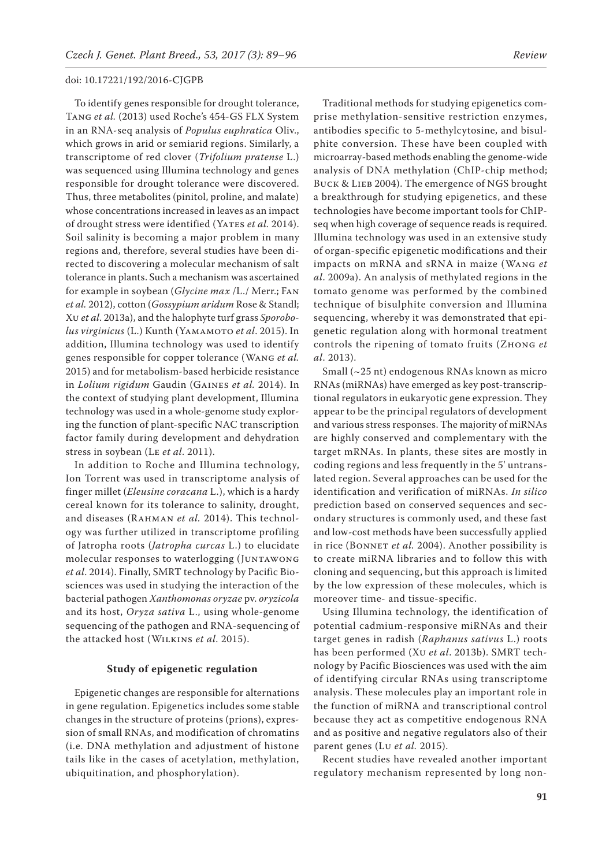To identify genes responsible for drought tolerance, Tang *et al.* (2013) used Roche's 454-GS FLX System in an RNA-seq analysis of *Populus euphratica* Oliv., which grows in arid or semiarid regions. Similarly, a transcriptome of red clover (*Trifolium pratense* L.) was sequenced using Illumina technology and genes responsible for drought tolerance were discovered. Thus, three metabolites (pinitol, proline, and malate) whose concentrations increased in leaves as an impact of drought stress were identified (YATES et al. 2014). Soil salinity is becoming a major problem in many regions and, therefore, several studies have been directed to discovering a molecular mechanism of salt tolerance in plants. Such a mechanism was ascertained for example in soybean (*Glycine max* /L./ Merr.; Fan *et al.* 2012), cotton (*Gossypium aridum* Rose & Standl; Xu *et al*. 2013a), and the halophyte turf grass *Sporobolus virginicus* (L.) Kunth (Yamamoto *et al*. 2015). In addition, Illumina technology was used to identify genes responsible for copper tolerance (Wang *et al.* 2015) and for metabolism-based herbicide resistance in *Lolium rigidum* Gaudin (Gaines *et al.* 2014). In the context of studying plant development, Illumina technology was used in a whole-genome study exploring the function of plant-specific NAC transcription factor family during development and dehydration stress in soybean (Le *et al*. 2011).

In addition to Roche and Illumina technology, Ion Torrent was used in transcriptome analysis of finger millet (*Eleusine coracana* L.), which is a hardy cereal known for its tolerance to salinity, drought, and diseases (Rahman *et al.* 2014). This technology was further utilized in transcriptome profiling of Jatropha roots (*Jatropha curcas* L.) to elucidate molecular responses to waterlogging (Juntawong *et al*. 2014). Finally, SMRT technology by Pacific Biosciences was used in studying the interaction of the bacterial pathogen *Xanthomonas oryzae* pv. *oryzicola*  and its host, *Oryza sativa* L., using whole-genome sequencing of the pathogen and RNA-sequencing of the attacked host (Wilkins *et al*. 2015).

## **Study of epigenetic regulation**

Epigenetic changes are responsible for alternations in gene regulation. Epigenetics includes some stable changes in the structure of proteins (prions), expression of small RNAs, and modification of chromatins (i.e. DNA methylation and adjustment of histone tails like in the cases of acetylation, methylation, ubiquitination, and phosphorylation).

Traditional methods for studying epigenetics comprise methylation-sensitive restriction enzymes, antibodies specific to 5-methylcytosine, and bisulphite conversion. These have been coupled with microarray-based methods enabling the genome-wide analysis of DNA methylation (ChIP-chip method; BUCK & LIEB 2004). The emergence of NGS brought a breakthrough for studying epigenetics, and these technologies have become important tools for ChIPseq when high coverage of sequence reads is required.

Illumina technology was used in an extensive study of organ-specific epigenetic modifications and their impacts on mRNA and sRNA in maize (Wang *et al*. 2009a). An analysis of methylated regions in the tomato genome was performed by the combined technique of bisulphite conversion and Illumina sequencing, whereby it was demonstrated that epigenetic regulation along with hormonal treatment controls the ripening of tomato fruits (Zhong *et* 

*al*. 2013). Small (~25 nt) endogenous RNAs known as micro RNAs (miRNAs) have emerged as key post-transcriptional regulators in eukaryotic gene expression. They appear to be the principal regulators of development and various stress responses. The majority of miRNAs are highly conserved and complementary with the target mRNAs. In plants, these sites are mostly in coding regions and less frequently in the 5' untranslated region. Several approaches can be used for the identification and verification of miRNAs. *In silico*  prediction based on conserved sequences and secondary structures is commonly used, and these fast and low-cost methods have been successfully applied in rice (BONNET et al. 2004). Another possibility is to create miRNA libraries and to follow this with cloning and sequencing, but this approach is limited by the low expression of these molecules, which is moreover time- and tissue-specific.

Using Illumina technology, the identification of potential cadmium-responsive miRNAs and their target genes in radish (*Raphanus sativus* L.) roots has been performed (Xu *et al*. 2013b). SMRT technology by Pacific Biosciences was used with the aim of identifying circular RNAs using transcriptome analysis. These molecules play an important role in the function of miRNA and transcriptional control because they act as competitive endogenous RNA and as positive and negative regulators also of their parent genes (Lu *et al.* 2015).

Recent studies have revealed another important regulatory mechanism represented by long non-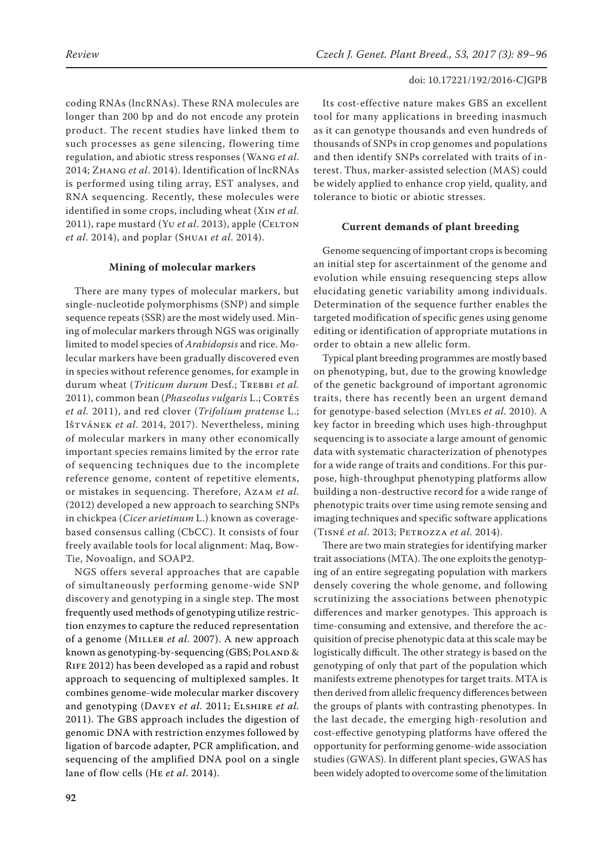coding RNAs (lncRNAs). These RNA molecules are longer than 200 bp and do not encode any protein product. The recent studies have linked them to such processes as gene silencing, flowering time regulation, and abiotic stress responses (Wang *et al*. 2014; Zhang *et al*. 2014). Identification of lncRNAs is performed using tiling array, EST analyses, and RNA sequencing. Recently, these molecules were identified in some crops, including wheat (Xin *et al.* 2011), rape mustard (Yu *et al.* 2013), apple (CELTON *et al*. 2014), and poplar (Shuai *et al*. 2014).

## **Mining of molecular markers**

There are many types of molecular markers, but single-nucleotide polymorphisms (SNP) and simple sequence repeats (SSR) are the most widely used. Mining of molecular markers through NGS was originally limited to model species of *Arabidopsis* and rice. Molecular markers have been gradually discovered even in species without reference genomes, for example in durum wheat (*Triticum durum Desf.*; TREBBI et al. 2011), common bean (*Phaseolus vulgaris* L.; Cortés *et al.* 2011), and red clover (*Trifolium pratense* L.; Ištvánek *et al*. 2014, 2017). Nevertheless, mining of molecular markers in many other economically important species remains limited by the error rate of sequencing techniques due to the incomplete reference genome, content of repetitive elements, or mistakes in sequencing. Therefore, Azam *et al.*  (2012) developed a new approach to searching SNPs in chickpea (*Cicer arietinum* L.) known as coveragebased consensus calling (CbCC). It consists of four freely available tools for local alignment: Maq, Bow-Tie, Novoalign, and SOAP2.

NGS offers several approaches that are capable of simultaneously performing genome-wide SNP discovery and genotyping in a single step. The most frequently used methods of genotyping utilize restriction enzymes to capture the reduced representation of a genome (Miller *et al*. 2007). A new approach known as genotyping-by-sequencing (GBS; POLAND & RIFE 2012) has been developed as a rapid and robust approach to sequencing of multiplexed samples. It combines genome-wide molecular marker discovery and genotyping (Davey *et al.* 2011; Elshire *et al.* 2011). The GBS approach includes the digestion of genomic DNA with restriction enzymes followed by ligation of barcode adapter, PCR amplification, and sequencing of the amplified DNA pool on a single lane of flow cells (He *et al*. 2014).

Its cost-effective nature makes GBS an excellent tool for many applications in breeding inasmuch as it can genotype thousands and even hundreds of thousands of SNPs in crop genomes and populations and then identify SNPs correlated with traits of interest. Thus, marker-assisted selection (MAS) could be widely applied to enhance crop yield, quality, and tolerance to biotic or abiotic stresses.

## **Current demands of plant breeding**

Genome sequencing of important crops is becoming an initial step for ascertainment of the genome and evolution while ensuing resequencing steps allow elucidating genetic variability among individuals. Determination of the sequence further enables the targeted modification of specific genes using genome editing or identification of appropriate mutations in order to obtain a new allelic form.

Typical plant breeding programmes are mostly based on phenotyping, but, due to the growing knowledge of the genetic background of important agronomic traits, there has recently been an urgent demand for genotype-based selection (Myles *et al*. 2010). A key factor in breeding which uses high-throughput sequencing is to associate a large amount of genomic data with systematic characterization of phenotypes for a wide range of traits and conditions. For this purpose, high-throughput phenotyping platforms allow building a non-destructive record for a wide range of phenotypic traits over time using remote sensing and imaging techniques and specific software applications (Tisné *et al*. 2013; Petrozza *et al*. 2014).

There are two main strategies for identifying marker trait associations (MTA). The one exploits the genotyping of an entire segregating population with markers densely covering the whole genome, and following scrutinizing the associations between phenotypic differences and marker genotypes. This approach is time-consuming and extensive, and therefore the acquisition of precise phenotypic data at this scale may be logistically difficult. The other strategy is based on the genotyping of only that part of the population which manifests extreme phenotypes for target traits. MTA is then derived from allelic frequency differences between the groups of plants with contrasting phenotypes. In the last decade, the emerging high-resolution and cost-effective genotyping platforms have offered the opportunity for performing genome-wide association studies (GWAS). In different plant species, GWAS has been widely adopted to overcome some of the limitation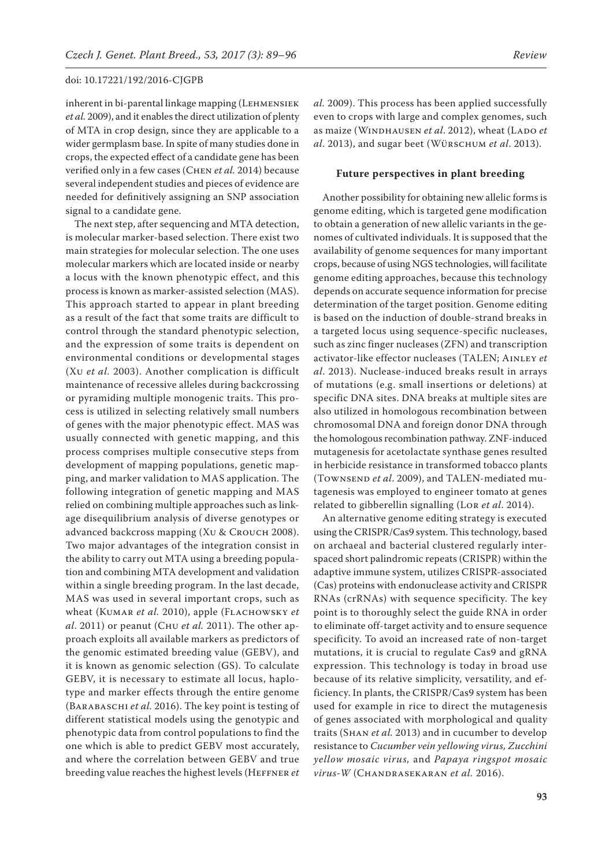inherent in bi-parental linkage mapping (Lehmensiek *et al.* 2009), and it enables the direct utilization of plenty of MTA in crop design, since they are applicable to a wider germplasm base. In spite of many studies done in crops, the expected effect of a candidate gene has been verified only in a few cases (Chen *et al.* 2014) because several independent studies and pieces of evidence are needed for definitively assigning an SNP association signal to a candidate gene.

The next step, after sequencing and MTA detection, is molecular marker-based selection. There exist two main strategies for molecular selection. The one uses molecular markers which are located inside or nearby a locus with the known phenotypic effect, and this process is known as marker-assisted selection (MAS). This approach started to appear in plant breeding as a result of the fact that some traits are difficult to control through the standard phenotypic selection, and the expression of some traits is dependent on environmental conditions or developmental stages (Xu *et al.* 2003). Another complication is difficult maintenance of recessive alleles during backcrossing or pyramiding multiple monogenic traits. This process is utilized in selecting relatively small numbers of genes with the major phenotypic effect. MAS was usually connected with genetic mapping, and this process comprises multiple consecutive steps from development of mapping populations, genetic mapping, and marker validation to MAS application. The following integration of genetic mapping and MAS relied on combining multiple approaches such as linkage disequilibrium analysis of diverse genotypes or advanced backcross mapping (Xu & Crouch 2008). Two major advantages of the integration consist in the ability to carry out MTA using a breeding population and combining MTA development and validation within a single breeding program. In the last decade, MAS was used in several important crops, such as wheat (Kumar *et al.* 2010), apple (Flachowsky *et al*. 2011) or peanut (Chu *et al.* 2011). The other approach exploits all available markers as predictors of the genomic estimated breeding value (GEBV), and it is known as genomic selection (GS). To calculate GEBV, it is necessary to estimate all locus, haplotype and marker effects through the entire genome (Barabaschi *et al.* 2016). The key point is testing of different statistical models using the genotypic and phenotypic data from control populations to find the one which is able to predict GEBV most accurately, and where the correlation between GEBV and true breeding value reaches the highest levels (Heffner *et*  *al.* 2009). This process has been applied successfully even to crops with large and complex genomes, such as maize (WINDHAUSEN *et al.* 2012), wheat (LADO *et al*. 2013), and sugar beet (Würschum *et al*. 2013).

# **Future perspectives in plant breeding**

Another possibility for obtaining new allelic forms is genome editing, which is targeted gene modification to obtain a generation of new allelic variants in the genomes of cultivated individuals. It is supposed that the availability of genome sequences for many important crops, because of using NGS technologies, will facilitate genome editing approaches, because this technology depends on accurate sequence information for precise determination of the target position. Genome editing is based on the induction of double-strand breaks in a targeted locus using sequence-specific nucleases, such as zinc finger nucleases (ZFN) and transcription activator-like effector nucleases (TALEN; Ainley *et al*. 2013). Nuclease-induced breaks result in arrays of mutations (e.g. small insertions or deletions) at specific DNA sites. DNA breaks at multiple sites are also utilized in homologous recombination between chromosomal DNA and foreign donor DNA through the homologous recombination pathway. ZNF-induced mutagenesis for acetolactate synthase genes resulted in herbicide resistance in transformed tobacco plants (Townsend *et al*. 2009), and TALEN-mediated mutagenesis was employed to engineer tomato at genes related to gibberellin signalling (Lor *et al*. 2014).

An alternative genome editing strategy is executed using the CRISPR/Cas9 system. This technology, based on archaeal and bacterial clustered regularly interspaced short palindromic repeats (CRISPR) within the adaptive immune system, utilizes CRISPR-associated (Cas) proteins with endonuclease activity and CRISPR RNAs (crRNAs) with sequence specificity. The key point is to thoroughly select the guide RNA in order to eliminate off-target activity and to ensure sequence specificity. To avoid an increased rate of non-target mutations, it is crucial to regulate Cas9 and gRNA expression. This technology is today in broad use because of its relative simplicity, versatility, and efficiency. In plants, the CRISPR/Cas9 system has been used for example in rice to direct the mutagenesis of genes associated with morphological and quality traits (Shan *et al.* 2013) and in cucumber to develop resistance to *Cucumber vein yellowing virus, Zucchini yellow mosaic virus,* and *Papaya ringspot mosaic virus-W* (Chandrasekaran *et al.* 2016).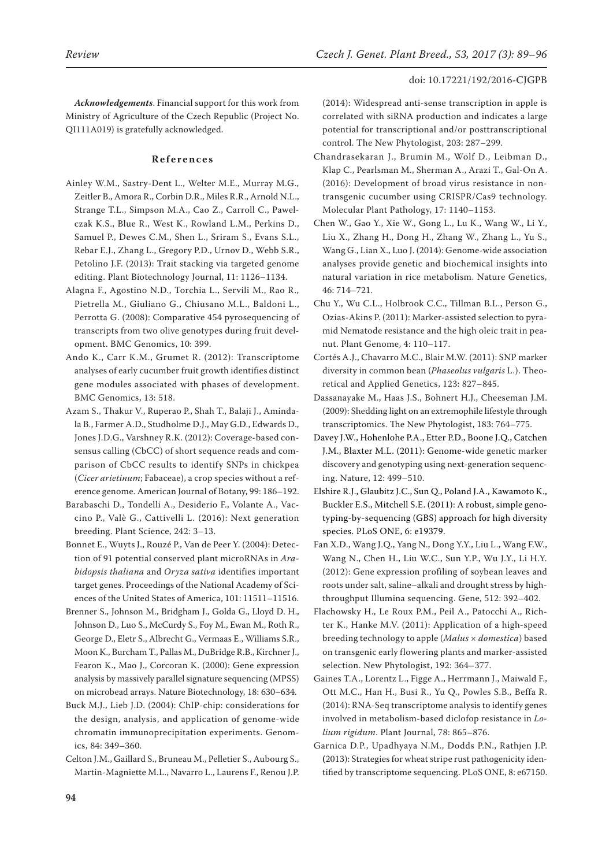*Acknowledgements*. Financial support for this work from Ministry of Agriculture of the Czech Republic (Project No. QI111A019) is gratefully acknowledged.

## **References**

- Ainley W.M., Sastry-Dent L., Welter M.E., Murray M.G., Zeitler B., Amora R., Corbin D.R., Miles R.R., Arnold N.L., Strange T.L., Simpson M.A., Cao Z., Carroll C., Pawelczak K.S., Blue R., West K., Rowland L.M., Perkins D., Samuel P., Dewes C.M., Shen L., Sriram S., Evans S.L., Rebar E.J., Zhang L., Gregory P.D., Urnov D., Webb S.R., Petolino J.F. (2013): Trait stacking via targeted genome editing. Plant Biotechnology Journal, 11: 1126–1134.
- Alagna F., Agostino N.D., Torchia L., Servili M., Rao R., Pietrella M., Giuliano G., Chiusano M.L., Baldoni L., Perrotta G. (2008): Comparative 454 pyrosequencing of transcripts from two olive genotypes during fruit development. BMC Genomics, 10: 399.
- Ando K., Carr K.M., Grumet R. (2012): Transcriptome analyses of early cucumber fruit growth identifies distinct gene modules associated with phases of development. BMC Genomics, 13: 518.
- Azam S., Thakur V., Ruperao P., Shah T., Balaji J., Amindala B., Farmer A.D., Studholme D.J., May G.D., Edwards D., Jones J.D.G., Varshney R.K. (2012): Coverage-based consensus calling (CbCC) of short sequence reads and comparison of CbCC results to identify SNPs in chickpea (*Cicer arietinum*; Fabaceae), a crop species without a reference genome. American Journal of Botany, 99: 186–192.
- Barabaschi D., Tondelli A., Desiderio F., Volante A., Vaccino P., Valè G., Cattivelli L. (2016): Next generation breeding. Plant Science, 242: 3–13.
- Bonnet E., Wuyts J., Rouzé P., Van de Peer Y. (2004): Detection of 91 potential conserved plant microRNAs in *Arabidopsis thaliana* and *Oryza sativa* identifies important target genes. Proceedings of the National Academy of Sciences of the United States of America, 101: 11511–11516.
- Brenner S., Johnson M., Bridgham J., Golda G., Lloyd D. H., Johnson D., Luo S., McCurdy S., Foy M., Ewan M., Roth R., George D., Eletr S., Albrecht G., Vermaas E., Williams S.R., Moon K., Burcham T., Pallas M., DuBridge R.B., Kirchner J., Fearon K., Mao J., Corcoran K. (2000): Gene expression analysis by massively parallel signature sequencing (MPSS) on microbead arrays. Nature Biotechnology, 18: 630–634.
- Buck M.J., Lieb J.D. (2004): ChIP-chip: considerations for the design, analysis, and application of genome-wide chromatin immunoprecipitation experiments. Genomics, 84: 349–360.
- Celton J.M., Gaillard S., Bruneau M., Pelletier S., Aubourg S., Martin-Magniette M.L., Navarro L., Laurens F., Renou J.P.

(2014): Widespread anti-sense transcription in apple is correlated with siRNA production and indicates a large potential for transcriptional and/or posttranscriptional control. The New Phytologist, 203: 287–299.

- Chandrasekaran J., Brumin M., Wolf D., Leibman D., Klap C., Pearlsman M., Sherman A., Arazi T., Gal-On A. (2016): Development of broad virus resistance in nontransgenic cucumber using CRISPR/Cas9 technology. Molecular Plant Pathology, 17: 1140–1153.
- Chen W., Gao Y., Xie W., Gong L., Lu K., Wang W., Li Y., Liu X., Zhang H., Dong H., Zhang W., Zhang L., Yu S., Wang G., Lian X., Luo J. (2014): Genome-wide association analyses provide genetic and biochemical insights into natural variation in rice metabolism. Nature Genetics, 46: 714–721.
- Chu Y., Wu C.L., Holbrook C.C., Tillman B.L., Person G., Ozias-Akins P. (2011): Marker-assisted selection to pyramid Nematode resistance and the high oleic trait in peanut. Plant Genome, 4: 110–117.
- Cortés A.J., Chavarro M.C., Blair M.W. (2011): SNP marker diversity in common bean (*Phaseolus vulgaris* L.). Theoretical and Applied Genetics, 123: 827–845.
- Dassanayake M., Haas J.S., Bohnert H.J., Cheeseman J.M. (2009): Shedding light on an extremophile lifestyle through transcriptomics. The New Phytologist, 183: 764–775.
- Davey J.W., Hohenlohe P.A., Etter P.D., Boone J.Q., Catchen J.M., Blaxter M.L. (2011): Genome-wide genetic marker discovery and genotyping using next-generation sequencing. Nature, 12: 499–510.
- Elshire R.J., Glaubitz J.C., Sun Q., Poland J.A., Kawamoto K., Buckler E.S., Mitchell S.E. (2011): A robust, simple genotyping-by-sequencing (GBS) approach for high diversity species. PLoS ONE, 6: e19379.
- Fan X.D., Wang J.Q., Yang N., Dong Y.Y., Liu L., Wang F.W., Wang N., Chen H., Liu W.C., Sun Y.P., Wu J.Y., Li H.Y. (2012): Gene expression profiling of soybean leaves and roots under salt, saline–alkali and drought stress by highthroughput Illumina sequencing. Gene, 512: 392–402.
- Flachowsky H., Le Roux P.M., Peil A., Patocchi A., Richter K., Hanke M.V. (2011): Application of a high-speed breeding technology to apple (*Malus* × *domestica*) based on transgenic early flowering plants and marker-assisted selection. New Phytologist, 192: 364–377.
- Gaines T.A., Lorentz L., Figge A., Herrmann J., Maiwald F., Ott M.C., Han H., Busi R., Yu Q., Powles S.B., Beffa R. (2014): RNA-Seq transcriptome analysis to identify genes involved in metabolism-based diclofop resistance in *Lolium rigidum*. Plant Journal, 78: 865–876.
- Garnica D.P., Upadhyaya N.M., Dodds P.N., Rathjen J.P. **(**2013): Strategies for wheat stripe rust pathogenicity identified by transcriptome sequencing. PLoS ONE, 8: e67150.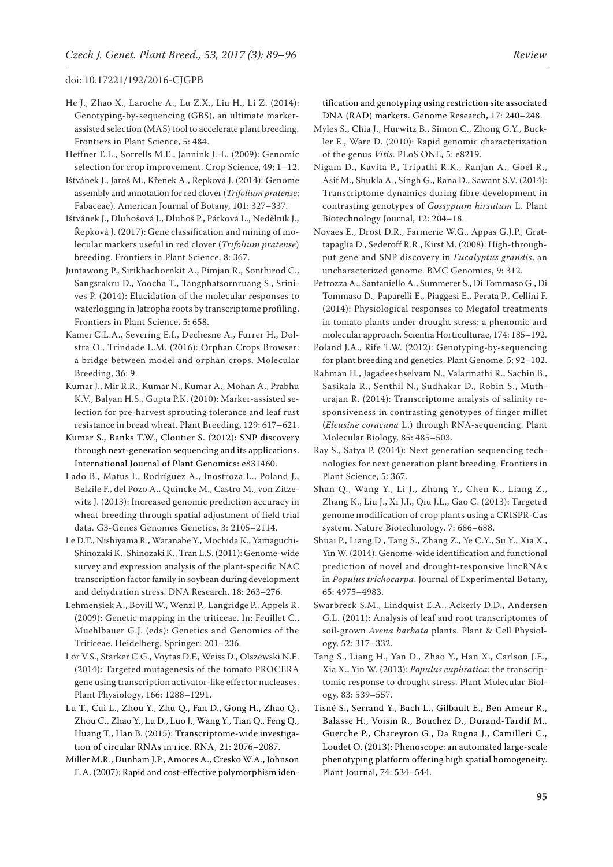- [He](http://frontiersin.org/people/u/169029) J., [Zhao](http://frontiersin.org/people/u/183077) X., [Laroche](http://frontiersin.org/people/u/169207) A., [Lu](http://frontiersin.org/people/u/169165) Z.X., [Liu](http://frontiersin.org/people/u/183082) H., Li Z. (2014): Genotyping-by-sequencing (GBS), an ultimate markerassisted selection (MAS) tool to accelerate plant breeding. Frontiers in Plant Science, 5: 484.
- Heffner E.L., Sorrells M.E., Jannink J.-L. (2009): Genomic selection for crop improvement. Crop Science, 49: 1–12.
- Ištvánek J., Jaroš M., Křenek A., Řepková J. (2014): Genome assembly and annotation for red clover (*Trifolium pratense*; Fabaceae). American Journal of Botany, 101: 327–337.
- Ištvánek J., Dluhošová J., Dluhoš P., Pátková L., Nedělník J., Řepková J. (2017): Gene classification and mining of molecular markers useful in red clover (*Trifolium pratense*) breeding. Frontiers in Plant Science, 8: 367.
- Juntawong P., Sirikhachornkit A., Pimjan R., Sonthirod C., Sangsrakru D., Yoocha T., Tangphatsornruang S., Srinives P. (2014): Elucidation of the molecular responses to waterlogging in Jatropha roots by transcriptome profiling. Frontiers in Plant Science, 5: 658.
- Kamei C.L.A., Severing E.I., Dechesne A., Furrer H., Dolstra O., Trindade L.M. (2016): Orphan Crops Browser: a bridge between model and orphan crops. Molecular Breeding, 36: 9.
- Kumar J., Mir R.R., Kumar N., Kumar A., Mohan A., Prabhu K.V., Balyan H.S., Gupta P.K. (2010): Marker-assisted selection for pre-harvest sprouting tolerance and leaf rust resistance in bread wheat. Plant Breeding, 129: 617–621.
- Kumar S., Banks T.W., Cloutier S. (2012): SNP discovery through next-generation sequencing and its applications. International Journal of Plant Genomics: e831460.
- Lado B., Matus I., Rodríguez A., Inostroza L., Poland J., Belzile F., del Pozo A., Quincke M., Castro M., von Zitzewitz J. (2013): Increased genomic prediction accuracy in wheat breeding through spatial adjustment of field trial data. G3-Genes Genomes Genetics, 3: 2105–2114.
- Le D.T., Nishiyama R., Watanabe Y., Mochida K., Yamaguchi-Shinozaki K., Shinozaki K., Tran L.S. (2011): Genome-wide survey and expression analysis of the plant-specific NAC transcription factor family in soybean during development and dehydration stress. DNA Research, 18: 263–276.
- Lehmensiek A., Bovill W., Wenzl P., Langridge P., Appels R. (2009): Genetic mapping in the triticeae. In: Feuillet C., Muehlbauer G.J. (eds): Genetics and Genomics of the Triticeae. Heidelberg, Springer: 201–236.
- Lor V.S., Starker C.G., Voytas D.F., Weiss D., Olszewski N.E. (2014): Targeted mutagenesis of the tomato PROCERA gene using transcription activator-like effector nucleases. Plant Physiology, 166: 1288–1291.
- Lu T., Cui L., Zhou Y., Zhu Q., Fan D., Gong H., Zhao Q., Zhou C., Zhao Y., Lu D., Luo J., Wang Y., Tian Q., Feng Q., Huang T., Han B. (2015): Transcriptome-wide investigation of circular RNAs in rice. RNA, 21: 2076–2087.
- Miller M.R., Dunham J.P., Amores A., Cresko W.A., Johnson E.A. (2007): Rapid and cost-effective polymorphism iden-

tification and genotyping using restriction site associated DNA (RAD) markers. Genome Research, 17: 240–248.

- Myles S., Chia J., Hurwitz B., Simon C., Zhong G.Y., Buckler E., Ware D. (2010): Rapid genomic characterization of the genus *Vitis*. PLoS ONE, 5: e8219.
- Nigam D., Kavita P., Tripathi R.K., Ranjan A., Goel R., Asif M., Shukla A., Singh G., Rana D., Sawant S.V. (2014): Transcriptome dynamics during fibre development in contrasting genotypes of *Gossypium hirsutum* L. Plant Biotechnology Journal, 12: 204–18.
- Novaes E., Drost D.R., Farmerie W.G., Appas G.J.P., Grattapaglia D., Sederoff R.R., Kirst M. (2008): High-throughput gene and SNP discovery in *Eucalyptus grandis*, an uncharacterized genome. BMC Genomics, 9: 312.
- Petrozza A., Santaniello A., Summerer S., Di Tommaso G., Di Tommaso D., Paparelli E., Piaggesi E., Perata P., Cellini F. (2014): Physiological responses to Megafol treatments in tomato plants under drought stress: a phenomic and molecular approach. Scientia Horticulturae, 174: 185–192.
- Poland J.A., Rife T.W. (2012): Genotyping-by-sequencing for plant breeding and genetics. Plant Genome, 5: 92–102.
- Rahman H., Jagadeeshselvam N., Valarmathi R., Sachin B., Sasikala R., Senthil N., Sudhakar D., Robin S., Muthurajan R. (2014): Transcriptome analysis of salinity responsiveness in contrasting genotypes of finger millet (*Eleusine coracana* L.) through RNA-sequencing. Plant Molecular Biology, 85: 485–503.
- Ray S., Satya P. (2014): Next generation sequencing technologies for next generation plant breeding. Frontiers in Plant Science, 5: 367.
- Shan Q., Wang Y., Li J., Zhang Y., Chen K., Liang Z., Zhang K., Liu J., Xi J.J., Qiu J.L., Gao C. (2013): Targeted genome modification of crop plants using a CRISPR-Cas system. Nature Biotechnology, 7: 686–688.
- Shuai P., Liang D., Tang S., Zhang Z., Ye C.Y., Su Y., Xia X., Yin W. (2014): Genome-wide identification and functional prediction of novel and drought-responsive lincRNAs in *Populus trichocarpa*. Journal of Experimental Botany, 65: 4975–4983.
- Swarbreck S.M., Lindquist E.A., Ackerly D.D., Andersen G.L. (2011): Analysis of leaf and root transcriptomes of soil-grown *Avena barbata* plants. Plant & Cell Physiology, 52: 317–332.
- Tang S., Liang H., Yan D., Zhao Y., Han X., Carlson J.E., Xia X., Yin W. (2013): *Populus euphratica*: the transcriptomic response to drought stress. Plant Molecular Biology, 83: 539–557.
- Tisné S., Serrand Y., Bach L., Gilbault E., Ben Ameur R., Balasse H., Voisin R., Bouchez D., Durand-Tardif M., Guerche P., Chareyron G., Da Rugna J., Camilleri C., Loudet O. (2013): Phenoscope: an automated large-scale phenotyping platform offering high spatial homogeneity. Plant Journal, 74: 534–544.